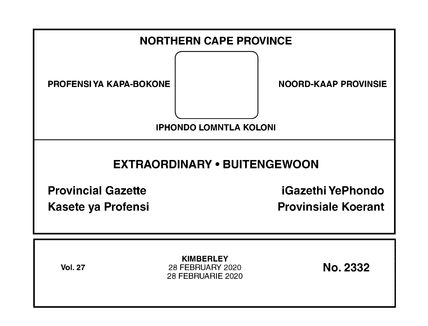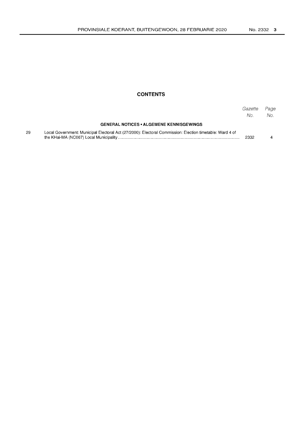# **CONTENTS**

|    |                                                                                                          | Gazette<br>No. | Page<br>No. |
|----|----------------------------------------------------------------------------------------------------------|----------------|-------------|
|    | <b>GENERAL NOTICES • ALGEMENE KENNISGEWINGS</b>                                                          |                |             |
| 29 | Local Government: Municipal Electoral Act (27/2000): Electoral Commission: Election timetable: Ward 4 of | 2332           |             |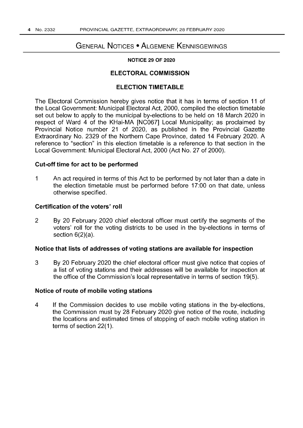# GENERAL NOTICES • ALGEMENE KENNISGEWINGS

#### NOTICE 29 OF 2020

# ELECTORAL COMMISSION

#### ELECTION TIMETABLE

The Electoral Commission hereby gives notice that it has in terms of section 11 of the Local Government: Municipal Electoral Act, 2000, compiled the election timetable set out below to apply to the municipal by-elections to be held on 18 March 2020 in respect of Ward 4 of the KHai-MA [NC067] Local Municipality; as proclaimed by Provincial Notice number 21 of 2020, as published in the Provincial Gazette Extraordinary No. 2329 of the Northern Cape Province, dated 14 February 2020. A reference to "section" in this election timetable is a reference to that section in the Local Government: Municipal Electoral Act, 2000 (Act No. 27 of 2000).

### Cut-off time for act to be performed

1 An act required in terms of this Act to be performed by not later than a date in the election timetable must be performed before 17:00 on that date, unless otherwise specified.

### Certification of the voters' roll

2 By 20 February 2020 chief electoral officer must certify the segments of the voters' roll for the voting districts to be used in the by-elections in terms of section 6(2)(a).

#### Notice that lists of addresses of voting stations are available for inspection

3 By 20 February 2020 the chief electoral officer must give notice that copies of a list of voting stations and their addresses will be available for inspection at the office of the Commission's local representative in terms of section 19(5).

#### Notice of route of mobile voting stations

4 If the Commission decides to use mobile voting stations in the by-elections, the Commission must by 28 February 2020 give notice of the route, including the locations and estimated times of stopping of each mobile voting station in terms of section 22(1).